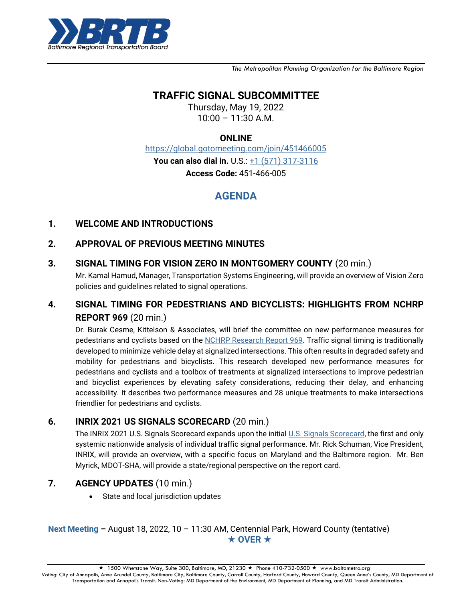

*The Metropolitan Planning Organization for the Baltimore Region*

# **TRAFFIC SIGNAL SUBCOMMITTEE**

Thursday, May 19, 2022  $10:00 - 11:30$  A.M.

#### **ONLINE**

<https://global.gotomeeting.com/join/451466005>

**You can also dial in.** U.S.:  $+1$  (571) 317-3116

**Access Code:** 451-466-005

# **AGENDA**

#### **1. WELCOME AND INTRODUCTIONS**

#### **2. APPROVAL OF PREVIOUS MEETING MINUTES**

**3. SIGNAL TIMING FOR VISION ZERO IN MONTGOMERY COUNTY** (20 min.)

Mr. Kamal Hamud, Manager, Transportation Systems Engineering, will provide an overview of Vision Zero policies and guidelines related to signal operations.

## **4. SIGNAL TIMING FOR PEDESTRIANS AND BICYCLISTS: HIGHLIGHTS FROM NCHRP REPORT 969** (20 min.)

Dr. Burak Cesme, Kittelson & Associates, will brief the committee on new performance measures for pedestrians and cyclists based on the [NCHRP Research Report 969.](https://www.trb.org/Main/Blurbs/182635.aspx) Traffic signal timing is traditionally developed to minimize vehicle delay at signalized intersections. This often results in degraded safety and mobility for pedestrians and bicyclists. This research developed new performance measures for pedestrians and cyclists and a toolbox of treatments at signalized intersections to improve pedestrian and bicyclist experiences by elevating safety considerations, reducing their delay, and enhancing accessibility. It describes two performance measures and 28 unique treatments to make intersections friendlier for pedestrians and cyclists.

## **6. INRIX 2021 US SIGNALS SCORECARD** (20 min.)

The INRIX 2021 U.S. Signals Scorecard expands upon the initial [U.S. Signals Scorecard,](https://inrix.com/learn/inrix-signals-scorecard-report/) the first and only systemic nationwide analysis of individual traffic signal performance. Mr. Rick Schuman, Vice President, INRIX, will provide an overview, with a specific focus on Maryland and the Baltimore region. Mr. Ben Myrick, MDOT-SHA, will provide a state/regional perspective on the report card.

## **7. AGENCY UPDATES** (10 min.)

• State and local jurisdiction updates

#### **Next Meeting –** August 18, 2022, 10 – 11:30 AM, Centennial Park, Howard County (tentative)  $\star$  OVER  $\star$

1500 Whetstone Way, Suite 300, Baltimore, MD, 21230 ★ Phone 410-732-0500 ★ www.baltometro.org

Voting: City of Annapolis, Anne Arundel County, Baltimore City, Baltimore County, Carroll County, Harford County, Howard County, Queen Anne's County, MD Department of Transportation and Annapolis Transit. Non-Voting: MD Department of the Environment, MD Department of Planning, and MD Transit Administration.